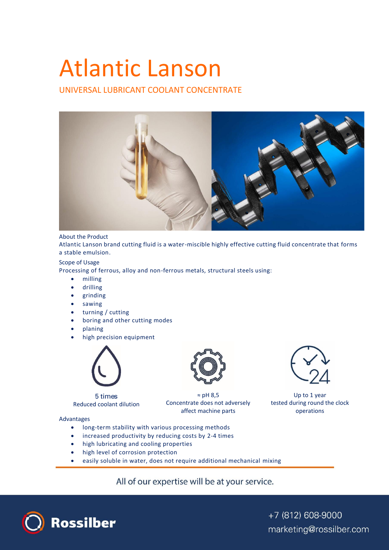# Atlantic Lanson

UNIVERSAL LUBRICANT COOLANT CONCENTRATE



### About the Product

Atlantic Lanson brand cutting fluid is a water-miscible highly effective cutting fluid concentrate that forms a stable emulsion.

> ≈ рН 8,5 Concentrate does not adversely affect machine parts

Scope of Usage

Processing of ferrous, alloy and non-ferrous metals, structural steels using:

- milling
- drilling
- grinding
- sawing
- turning / cutting
- boring and other cutting modes
- planing
- high precision equipment



5 times Reduced coolant dilution

Advantages

- long-term stability with various processing methods
- increased productivity by reducing costs by 2-4 times
- high lubricating and cooling properties
- high level of corrosion protection
- easily soluble in water, does not require additional mechanical mixing

Up to 1 year tested during round the clock operations

All of our expertise will be at your service.



+7 (812) 608-9000 marketing@rossilber.com